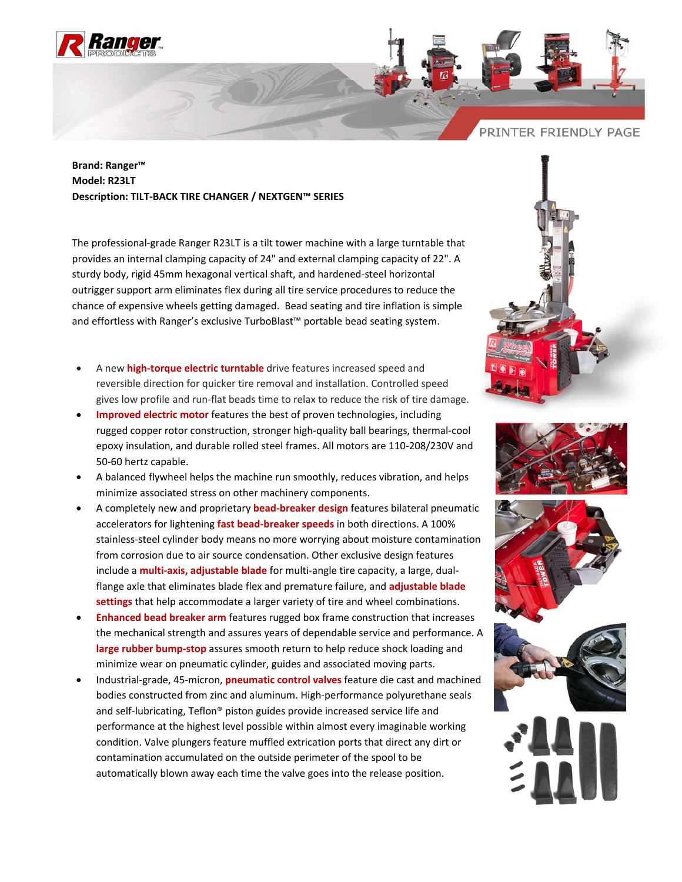



## **Brand: Ranger™ Model: R23LT Description: TILT‐BACK TIRE CHANGER / NEXTGEN™ SERIES**

The professional‐grade Ranger R23LT is a tilt tower machine with a large turntable that provides an internal clamping capacity of 24" and external clamping capacity of 22". A sturdy body, rigid 45mm hexagonal vertical shaft, and hardened‐steel horizontal outrigger support arm eliminates flex during all tire service procedures to reduce the chance of expensive wheels getting damaged. Bead seating and tire inflation is simple and effortless with Ranger's exclusive TurboBlast™ portable bead seating system.

- A new **high‐torque electric turntable** drive features increased speed and reversible direction for quicker tire removal and installation. Controlled speed gives low profile and run‐flat beads time to relax to reduce the risk of tire damage.
- **Improved electric motor** features the best of proven technologies, including rugged copper rotor construction, stronger high‐quality ball bearings, thermal‐cool epoxy insulation, and durable rolled steel frames. All motors are 110‐208/230V and 50‐60 hertz capable.
- A balanced flywheel helps the machine run smoothly, reduces vibration, and helps minimize associated stress on other machinery components.
- A completely new and proprietary **bead‐breaker design** features bilateral pneumatic accelerators for lightening **fast bead‐breaker speeds** in both directions. A 100% stainless‐steel cylinder body means no more worrying about moisture contamination from corrosion due to air source condensation. Other exclusive design features include a **multi‐axis, adjustable blade** for multi‐angle tire capacity, a large, dual‐ flange axle that eliminates blade flex and premature failure, and **adjustable blade settings** that help accommodate a larger variety of tire and wheel combinations.
- **Enhanced bead breaker arm** features rugged box frame construction that increases the mechanical strength and assures years of dependable service and performance. A **large rubber bump‐stop** assures smooth return to help reduce shock loading and minimize wear on pneumatic cylinder, guides and associated moving parts.
- Industrial‐grade, 45‐micron, **pneumatic control valves** feature die cast and machined bodies constructed from zinc and aluminum. High‐performance polyurethane seals and self-lubricating, Teflon® piston guides provide increased service life and performance at the highest level possible within almost every imaginable working condition. Valve plungers feature muffled extrication ports that direct any dirt or contamination accumulated on the outside perimeter of the spool to be automatically blown away each time the valve goes into the release position.







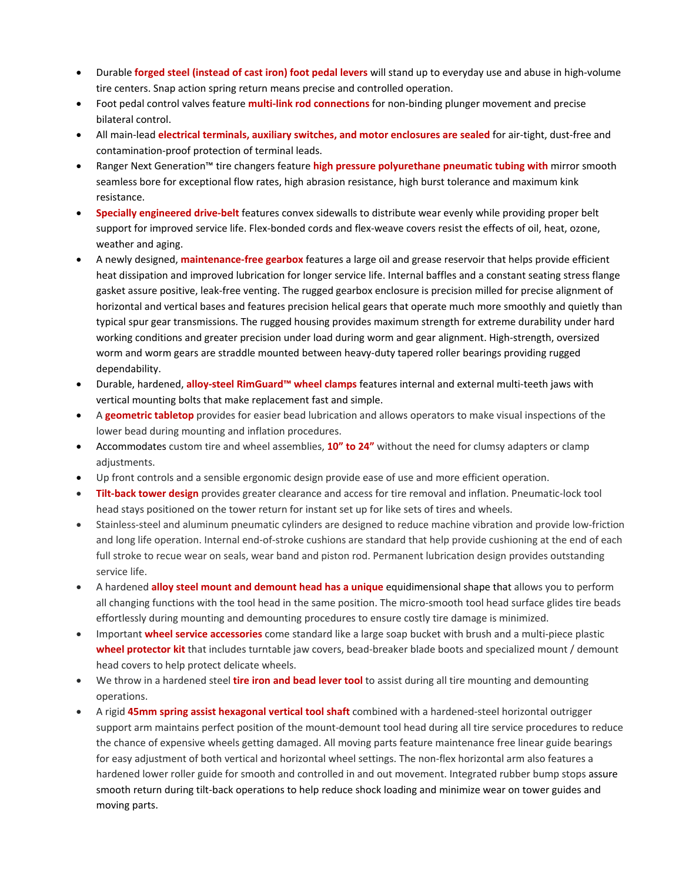- Durable **forged steel (instead of cast iron) foot pedal levers** will stand up to everyday use and abuse in high‐volume tire centers. Snap action spring return means precise and controlled operation.
- Foot pedal control valves feature **multi‐link rod connections** for non‐binding plunger movement and precise bilateral control.
- All main‐lead **electrical terminals, auxiliary switches, and motor enclosures are sealed** for air‐tight, dust‐free and contamination‐proof protection of terminal leads.
- Ranger Next Generation™ tire changers feature **high pressure polyurethane pneumatic tubing with** mirror smooth seamless bore for exceptional flow rates, high abrasion resistance, high burst tolerance and maximum kink resistance.
- **Specially engineered drive‐belt** features convex sidewalls to distribute wear evenly while providing proper belt support for improved service life. Flex-bonded cords and flex-weave covers resist the effects of oil, heat, ozone, weather and aging.
- A newly designed, **maintenance‐free gearbox** features a large oil and grease reservoir that helps provide efficient heat dissipation and improved lubrication for longer service life. Internal baffles and a constant seating stress flange gasket assure positive, leak‐free venting. The rugged gearbox enclosure is precision milled for precise alignment of horizontal and vertical bases and features precision helical gears that operate much more smoothly and quietly than typical spur gear transmissions. The rugged housing provides maximum strength for extreme durability under hard working conditions and greater precision under load during worm and gear alignment. High‐strength, oversized worm and worm gears are straddle mounted between heavy-duty tapered roller bearings providing rugged dependability.
- Durable, hardened, **alloy‐steel RimGuard™ wheel clamps** features internal and external multi‐teeth jaws with vertical mounting bolts that make replacement fast and simple.
- A **geometric tabletop** provides for easier bead lubrication and allows operators to make visual inspections of the lower bead during mounting and inflation procedures.
- Accommodates custom tire and wheel assemblies, **10" to 24"** without the need for clumsy adapters or clamp adjustments.
- Up front controls and a sensible ergonomic design provide ease of use and more efficient operation.
- **Tilt‐back tower design** provides greater clearance and access for tire removal and inflation. Pneumatic‐lock tool head stays positioned on the tower return for instant set up for like sets of tires and wheels.
- Stainless‐steel and aluminum pneumatic cylinders are designed to reduce machine vibration and provide low‐friction and long life operation. Internal end-of-stroke cushions are standard that help provide cushioning at the end of each full stroke to recue wear on seals, wear band and piston rod. Permanent lubrication design provides outstanding service life.
- A hardened **alloy steel mount and demount head has a unique** equidimensional shape that allows you to perform all changing functions with the tool head in the same position. The micro‐smooth tool head surface glides tire beads effortlessly during mounting and demounting procedures to ensure costly tire damage is minimized.
- Important **wheel service accessories** come standard like a large soap bucket with brush and a multi‐piece plastic **wheel protector kit** that includes turntable jaw covers, bead‐breaker blade boots and specialized mount / demount head covers to help protect delicate wheels.
- We throw in a hardened steel **tire iron and bead lever tool** to assist during all tire mounting and demounting operations.
- A rigid **45mm spring assist hexagonal vertical tool shaft** combined with a hardened‐steel horizontal outrigger support arm maintains perfect position of the mount-demount tool head during all tire service procedures to reduce the chance of expensive wheels getting damaged. All moving parts feature maintenance free linear guide bearings for easy adjustment of both vertical and horizontal wheel settings. The non-flex horizontal arm also features a hardened lower roller guide for smooth and controlled in and out movement. Integrated rubber bump stops assure smooth return during tilt-back operations to help reduce shock loading and minimize wear on tower guides and moving parts.